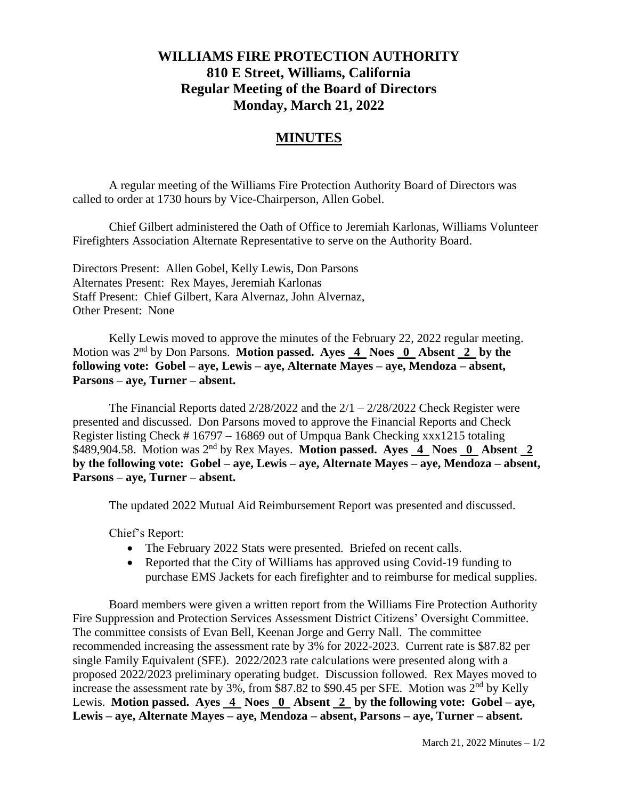## **WILLIAMS FIRE PROTECTION AUTHORITY 810 E Street, Williams, California Regular Meeting of the Board of Directors Monday, March 21, 2022**

## **MINUTES**

A regular meeting of the Williams Fire Protection Authority Board of Directors was called to order at 1730 hours by Vice-Chairperson, Allen Gobel.

Chief Gilbert administered the Oath of Office to Jeremiah Karlonas, Williams Volunteer Firefighters Association Alternate Representative to serve on the Authority Board.

Directors Present: Allen Gobel, Kelly Lewis, Don Parsons Alternates Present: Rex Mayes, Jeremiah Karlonas Staff Present: Chief Gilbert, Kara Alvernaz, John Alvernaz, Other Present: None

Kelly Lewis moved to approve the minutes of the February 22, 2022 regular meeting. Motion was 2nd by Don Parsons. **Motion passed. Ayes 4 Noes 0 Absent 2 by the following vote: Gobel – aye, Lewis – aye, Alternate Mayes – aye, Mendoza – absent, Parsons – aye, Turner – absent.**

The Financial Reports dated  $2/28/2022$  and the  $2/1 - 2/28/2022$  Check Register were presented and discussed. Don Parsons moved to approve the Financial Reports and Check Register listing Check # 16797 – 16869 out of Umpqua Bank Checking xxx1215 totaling \$489,904.58. Motion was 2nd by Rex Mayes. **Motion passed. Ayes 4 Noes 0 Absent 2 by the following vote: Gobel – aye, Lewis – aye, Alternate Mayes – aye, Mendoza – absent, Parsons – aye, Turner – absent.**

The updated 2022 Mutual Aid Reimbursement Report was presented and discussed.

Chief's Report:

- The February 2022 Stats were presented. Briefed on recent calls.
- Reported that the City of Williams has approved using Covid-19 funding to purchase EMS Jackets for each firefighter and to reimburse for medical supplies.

Board members were given a written report from the Williams Fire Protection Authority Fire Suppression and Protection Services Assessment District Citizens' Oversight Committee. The committee consists of Evan Bell, Keenan Jorge and Gerry Nall. The committee recommended increasing the assessment rate by 3% for 2022-2023. Current rate is \$87.82 per single Family Equivalent (SFE). 2022/2023 rate calculations were presented along with a proposed 2022/2023 preliminary operating budget. Discussion followed. Rex Mayes moved to increase the assessment rate by 3%, from \$87.82 to \$90.45 per SFE. Motion was 2nd by Kelly Lewis. **Motion passed.** Ayes  $\overline{4}$  Noes  $\overline{0}$  Absent  $\overline{2}$  by the following vote: Gobel – aye, **Lewis – aye, Alternate Mayes – aye, Mendoza – absent, Parsons – aye, Turner – absent.**